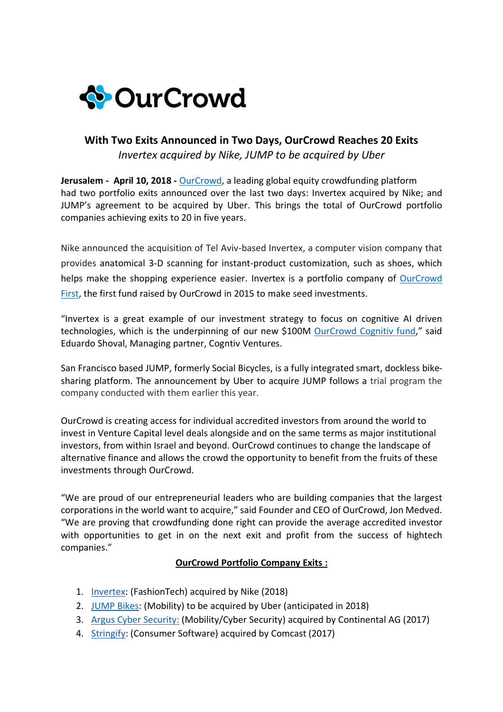

## **With Two Exits Announced in Two Days, OurCrowd Reaches 20 Exits**  *Invertex acquired by Nike, JUMP to be acquired by Uber*

**Jerusalem - April 10, 2018 -** [OurCrowd,](http://www.ourcrowd.com/) a leading global equity crowdfunding platform had two portfolio exits announced over the last two days: Invertex acquired by Nike; and JUMP's agreement to be acquired by Uber. This brings the total of OurCrowd portfolio companies achieving exits to 20 in five years.

Nike announced the acquisition of Tel Aviv-based Invertex, a computer vision company that provides anatomical 3-D scanning for instant-product customization, such as shoes, which helps make the shopping experience easier. Invertex is a portfolio company of **OurCrowd** [First,](http://www.ourcrowdfirst.com/) the first fund raised by OurCrowd in 2015 to make seed investments.

"Invertex is a great example of our investment strategy to focus on cognitive AI driven technologies, which is the underpinning of our new \$100M OurCrowd [Cognitiv fund,](http://www.cognitiv.vc/)" said Eduardo Shoval, Managing partner, Cogntiv Ventures.

San Francisco based JUMP, formerly Social Bicycles, is a fully integrated smart, dockless bikesharing platform. The announcement by Uber to acquire JUMP follows a trial program the company conducted with them earlier this year.

OurCrowd is creating access for individual accredited investors from around the world to invest in Venture Capital level deals alongside and on the same terms as major institutional investors, from within Israel and beyond. OurCrowd continues to change the landscape of alternative finance and allows the crowd the opportunity to benefit from the fruits of these investments through OurCrowd.

"We are proud of our entrepreneurial leaders who are building companies that the largest corporations in the world want to acquire," said Founder and CEO of OurCrowd, Jon Medved. "We are proving that crowdfunding done right can provide the average accredited investor with opportunities to get in on the next exit and profit from the success of hightech companies."

## **OurCrowd Portfolio Company Exits :**

- 1. [Invertex:](http://www.invertex3d.com/#_blank) (FashionTech) acquired by Nike (2018)
- 2. [JUMP Bikes:](https://jumpbikes.com/) (Mobility) to be acquired by Uber (anticipated in 2018)
- 3. [Argus Cyber Security:](https://argus-sec.com/#_blank) (Mobility/Cyber Security) acquired by Continental AG (2017)
- 4. [Stringify:](https://www.stringify.com/) (Consumer Software) acquired by Comcast (2017)